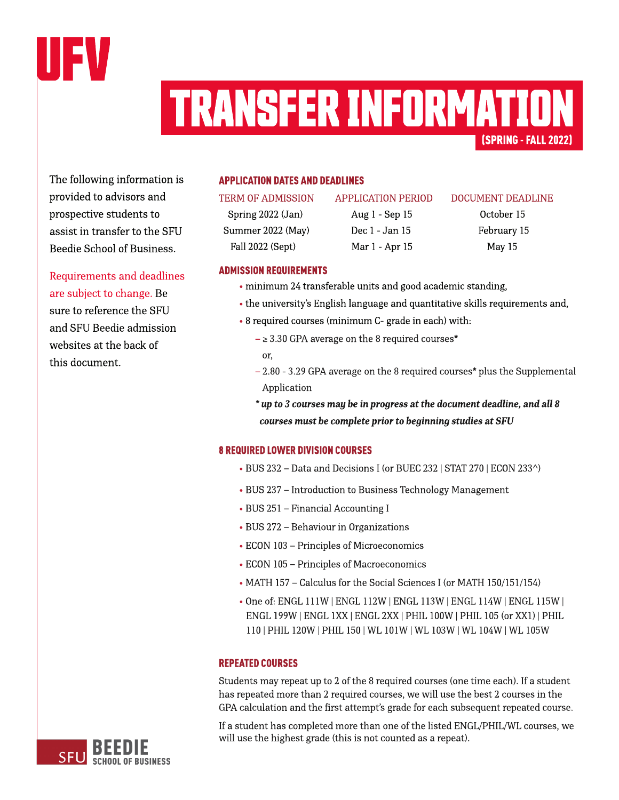

# (SPRING-FALL2022) TRANSFERINFORMATION

The following information is provided to advisors and prospective students to assist in transfer to the SFU Beedie School of Business.

Requirements and deadlines are subject to change. Be sure to reference the SFU and SFU Beedie admission websites at the back of this document.

#### **APPLICATION DATES AND DEADLINES**

Spring 2022 (Jan) Aug 1 - Sep 15 October 15 Summer 2022 (May) Dec 1 - Jan 15 February 15 Fall 2022 (Sept) Mar 1 - Apr 15 May 15

#### TERM OF ADMISSION APPLICATION PERIOD DOCUMENT DEADLINE

## **ADMISSION REQUIREMENTS**

- minimum 24 transferable units and good academic standing,
- the university's [English](https://www.sfu.ca/students/admission/admission-requirements/english-language-requirement.html) [language](https://www.sfu.ca/students/admission/admission-requirements/english-language-requirement.html) and quantitative skills requirements and,
- 8 required courses (minimum C- grade in each) with:
	- $\geq$  3.30 GPA average on the 8 required courses\* or,
	- $2.80 3.29$  GPA average on the 8 required courses\* plus the Supplemental Application
	- **\* upto3coursesmay bein progressat thedocument deadline,andall8** *courses must be complete prior to beginning studies at SFU*

#### **8 REQUIRED LOWER DIVISION COURSES**

- BUS 232 Data and Decisions I (or BUEC 232 | STAT 270 | ECON 233^)
- BUS 237 Introduction to Business Technology Management
- BUS 251 Financial Accounting I
- BUS 272 Behaviour in Organizations
- ECON 103 Principles of Microeconomics
- ECON 105 Principles of Macroeconomics
- MATH 157 Calculus for the Social Sciences I (or MATH 150/151/154)
- Oneof: ENGL 111W |ENGL 112W | ENGL 113W | ENGL 114W | ENGL 115W | ENGL 199W |ENGL 1XX|ENGL 2XX| PHIL 100W |PHIL 105(or XX1) |PHIL 110| PHIL 120W |PHIL 150| WL 101W | WL 103W | WL 104W | WL105W

#### **REPEATED COURSES**

Students may repeat up to 2 of the 8 required courses (one time each). If a student has repeated more than 2 required courses, we will use the best 2 courses in the GPA calculation and the first attempt's grade for each subsequent repeated course.

If a student has completed more than one of the listed ENGL/PHIL/WL courses, we will use the highest grade (this is not counted as a repeat).